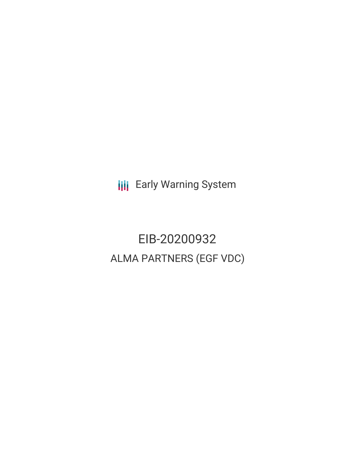**III** Early Warning System

EIB-20200932 ALMA PARTNERS (EGF VDC)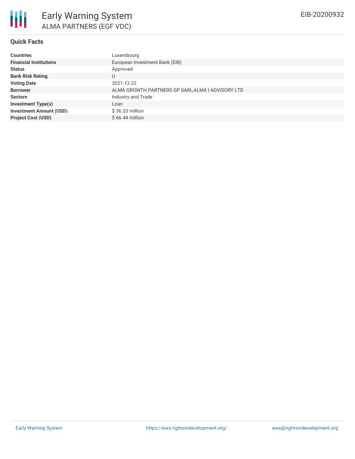#### **Quick Facts**

| <b>Countries</b>               | Luxembourg                                        |
|--------------------------------|---------------------------------------------------|
| <b>Financial Institutions</b>  | European Investment Bank (EIB)                    |
| <b>Status</b>                  | Approved                                          |
| <b>Bank Risk Rating</b>        | U                                                 |
| <b>Voting Date</b>             | 2021-12-22                                        |
| <b>Borrower</b>                | ALMA GROWTH PARTNERS GP SARL, ALMA I ADVISORY LTD |
| <b>Sectors</b>                 | Industry and Trade                                |
| <b>Investment Type(s)</b>      | Loan                                              |
| <b>Investment Amount (USD)</b> | \$36.33 million                                   |
| <b>Project Cost (USD)</b>      | $$66.44$ million                                  |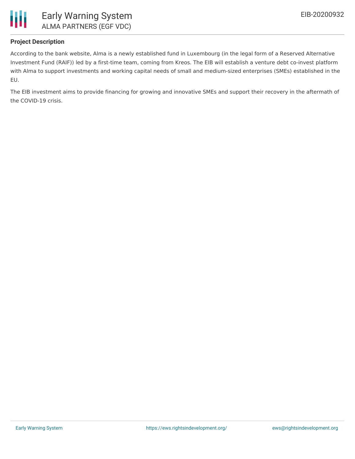

## **Project Description**

According to the bank website, Alma is a newly established fund in Luxembourg (in the legal form of a Reserved Alternative Investment Fund (RAIF)) led by a first-time team, coming from Kreos. The EIB will establish a venture debt co-invest platform with Alma to support investments and working capital needs of small and medium-sized enterprises (SMEs) established in the EU.

The EIB investment aims to provide financing for growing and innovative SMEs and support their recovery in the aftermath of the COVID-19 crisis.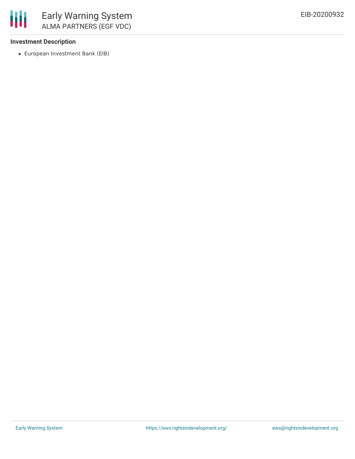

### **Investment Description**

European Investment Bank (EIB)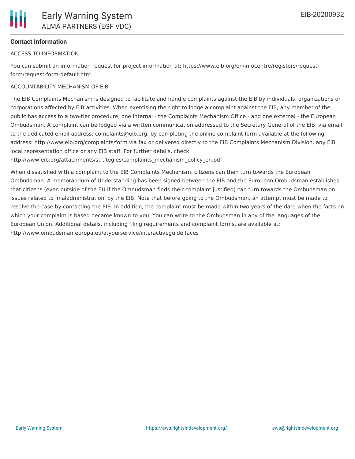## **Contact Information**

#### ACCESS TO INFORMATION

You can submit an information request for project information at: https://www.eib.org/en/infocentre/registers/requestform/request-form-default.htm

#### ACCOUNTABILITY MECHANISM OF EIB

The EIB Complaints Mechanism is designed to facilitate and handle complaints against the EIB by individuals, organizations or corporations affected by EIB activities. When exercising the right to lodge a complaint against the EIB, any member of the public has access to a two-tier procedure, one internal - the Complaints Mechanism Office - and one external - the European Ombudsman. A complaint can be lodged via a written communication addressed to the Secretary General of the EIB, via email to the dedicated email address: complaints@eib.org, by completing the online complaint form available at the following address: http://www.eib.org/complaints/form via fax or delivered directly to the EIB Complaints Mechanism Division, any EIB local representation office or any EIB staff. For further details, check:

http://www.eib.org/attachments/strategies/complaints\_mechanism\_policy\_en.pdf

When dissatisfied with a complaint to the EIB Complaints Mechanism, citizens can then turn towards the European Ombudsman. A memorandum of Understanding has been signed between the EIB and the European Ombudsman establishes that citizens (even outside of the EU if the Ombudsman finds their complaint justified) can turn towards the Ombudsman on issues related to 'maladministration' by the EIB. Note that before going to the Ombudsman, an attempt must be made to resolve the case by contacting the EIB. In addition, the complaint must be made within two years of the date when the facts on which your complaint is based became known to you. You can write to the Ombudsman in any of the languages of the European Union. Additional details, including filing requirements and complaint forms, are available at: http://www.ombudsman.europa.eu/atyourservice/interactiveguide.faces